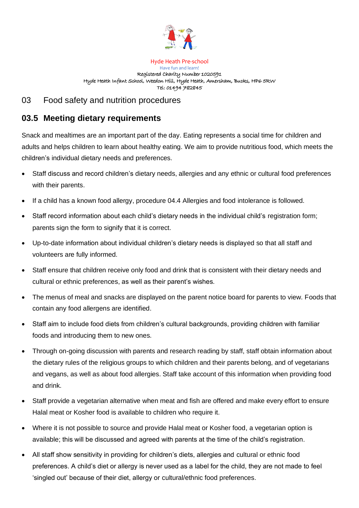

Hyde Heath Pre-school Have fun and learn! Registered Charity Number 1020591 Hyde Heath Infant School, Weedon Hill, Hyde Heath, Amersham, Bucks, HP6 5RW Tel: 01494 782845

## 03 Food safety and nutrition procedures

## **03.5 Meeting dietary requirements**

Snack and mealtimes are an important part of the day. Eating represents a social time for children and adults and helps children to learn about healthy eating. We aim to provide nutritious food, which meets the children's individual dietary needs and preferences.

- Staff discuss and record children's dietary needs, allergies and any ethnic or cultural food preferences with their parents.
- If a child has a known food allergy, procedure 04.4 Allergies and food intolerance is followed.
- Staff record information about each child's dietary needs in the individual child's registration form; parents sign the form to signify that it is correct.
- Up-to-date information about individual children's dietary needs is displayed so that all staff and volunteers are fully informed.
- Staff ensure that children receive only food and drink that is consistent with their dietary needs and cultural or ethnic preferences, as well as their parent's wishes.
- The menus of meal and snacks are displayed on the parent notice board for parents to view. Foods that contain any food allergens are identified.
- Staff aim to include food diets from children's cultural backgrounds, providing children with familiar foods and introducing them to new ones.
- Through on-going discussion with parents and research reading by staff, staff obtain information about the dietary rules of the religious groups to which children and their parents belong, and of vegetarians and vegans, as well as about food allergies. Staff take account of this information when providing food and drink.
- Staff provide a vegetarian alternative when meat and fish are offered and make every effort to ensure Halal meat or Kosher food is available to children who require it.
- Where it is not possible to source and provide Halal meat or Kosher food, a vegetarian option is available; this will be discussed and agreed with parents at the time of the child's registration.
- All staff show sensitivity in providing for children's diets, allergies and cultural or ethnic food preferences. A child's diet or allergy is never used as a label for the child, they are not made to feel 'singled out' because of their diet, allergy or cultural/ethnic food preferences.